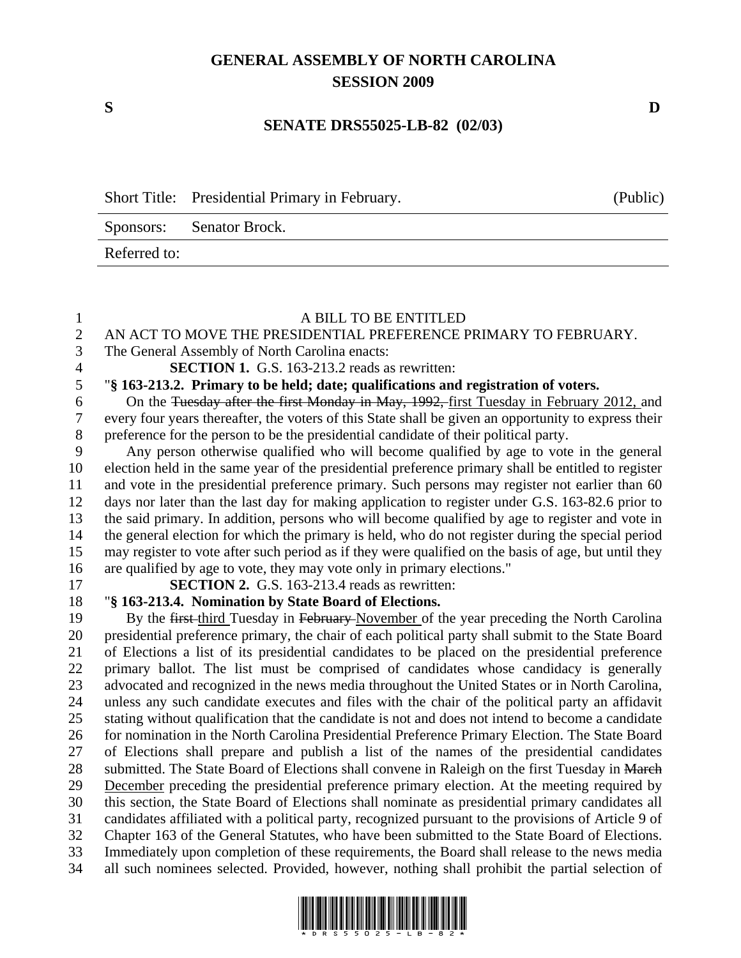## **GENERAL ASSEMBLY OF NORTH CAROLINA SESSION 2009**

Referred to:

## **SENATE DRS55025-LB-82 (02/03)**

Short Title: Presidential Primary in February. (Public) Sponsors: Senator Brock.

## 1 A BILL TO BE ENTITLED<br>2 AN ACT TO MOVE THE PRESIDENTIAL PREFERENCE I 2 AN ACT TO MOVE THE PRESIDENTIAL PREFERENCE PRIMARY TO FEBRUARY. 3 The General Assembly of North Carolina enacts:

4 **SECTION 1.** G.S. 163-213.2 reads as rewritten:

5 "**§ 163-213.2. Primary to be held; date; qualifications and registration of voters.** 

6 On the Tuesday after the first Monday in May, 1992, first Tuesday in February 2012, and 7 every four years thereafter, the voters of this State shall be given an opportunity to express their 8 preference for the person to be the presidential candidate of their political party.

9 Any person otherwise qualified who will become qualified by age to vote in the general 10 election held in the same year of the presidential preference primary shall be entitled to register 11 and vote in the presidential preference primary. Such persons may register not earlier than 60 12 days nor later than the last day for making application to register under G.S. 163-82.6 prior to 13 the said primary. In addition, persons who will become qualified by age to register and vote in 14 the general election for which the primary is held, who do not register during the special period 15 may register to vote after such period as if they were qualified on the basis of age, but until they 16 are qualified by age to vote, they may vote only in primary elections."

17 **SECTION 2.** G.S. 163-213.4 reads as rewritten:

## 18 "**§ 163-213.4. Nomination by State Board of Elections.**

19 By the first-third Tuesday in February-November of the year preceding the North Carolina 20 presidential preference primary, the chair of each political party shall submit to the State Board 21 of Elections a list of its presidential candidates to be placed on the presidential preference 22 primary ballot. The list must be comprised of candidates whose candidacy is generally 23 advocated and recognized in the news media throughout the United States or in North Carolina, 24 unless any such candidate executes and files with the chair of the political party an affidavit 25 stating without qualification that the candidate is not and does not intend to become a candidate 26 for nomination in the North Carolina Presidential Preference Primary Election. The State Board 27 of Elections shall prepare and publish a list of the names of the presidential candidates 28 submitted. The State Board of Elections shall convene in Raleigh on the first Tuesday in March 29 December preceding the presidential preference primary election. At the meeting required by 30 this section, the State Board of Elections shall nominate as presidential primary candidates all 31 candidates affiliated with a political party, recognized pursuant to the provisions of Article 9 of 32 Chapter 163 of the General Statutes, who have been submitted to the State Board of Elections. 33 Immediately upon completion of these requirements, the Board shall release to the news media 34 all such nominees selected. Provided, however, nothing shall prohibit the partial selection of



**S D**